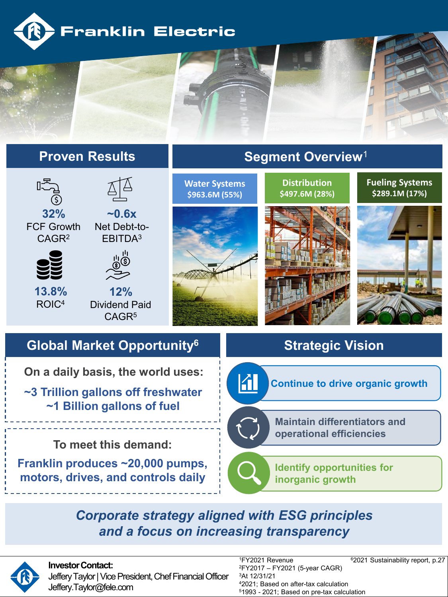



**To meet this demand:**

**Franklin produces ~20,000 pumps, motors, drives, and controls daily**

**Maintain differentiators and operational efficiencies Identify opportunities for inorganic growth**

*Corporate strategy aligned with ESG principles and a focus on increasing transparency*



## **Investor Contact:**

Jeffery Taylor | Vice President, Chef Financial Officer Jeffery.Taylor@fele.com

1FY2021 Revenue 2FY2017 – FY2021 (5-year CAGR) 3At 12/31/21 42021; Based on after-tax calculation 51993 - 2021; Based on pre-tax calculation

62021 Sustainability report, p.27